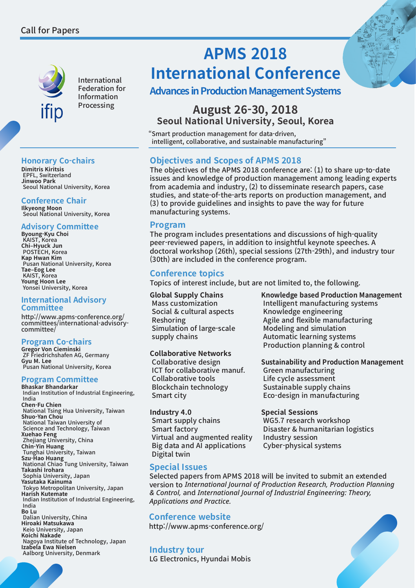

International Federation for Information Processing

# **Honorary Co-chairs**

**Dimitris Kiritsis** EPFL, Switzerland **Jinwoo Park** Seoul National University, Korea

# **Conference Chair**

**Ilkyeong Moon**  Seoul National University, Korea

# **Advisory Committee**

**Byoung-Kyu Choi**  KAIST, Korea **Chi–Hyuck Jun**  POSTECH, Korea **Kap Hwan Kim**  Pusan National University, Korea **Tae–Eog Lee**  KAIST, Korea **Young Hoon Lee**  Yonsei University, Korea

#### **International Advisory Committee**

http://www.apms-conference.org/ committees/international-advisorycommittee/

# **Program Co-chairs**

**Gregor Von Cieminski**  ZF Friedrichshafen AG, Germany **Gyu M. Lee**  Pusan National University, Korea

# **Program Committee**

**Bhaskar Bhandarkar**  Indian Institution of Industrial Engineering, India **Chen-Fu Chien**  National Tsing Hua University, Taiwan **Shuo-Yan Chou**  National Taiwan University of Science and Technology, Taiwan **Xuehao Feng**  Zhejiang University, China **Chin-Yin Huang**  Tunghai University, Taiwan **Szu-Hao Huang**  National Chiao Tung University, Taiwan **Takashi Irohara** Sophia University, Japan **Yasutaka Kainuma** Tokyo Metropolitan University, Japan **Harish Kutemate**  Indian Institution of Industrial Engineering, India **Bo Lu** Dalian University, China **Hiroaki Matsukawa** Keio University, Japan **Koichi Nakade**  Nagoya Institute of Technology, Japan **Izabela Ewa Nielsen** Aalborg University, Denmark

# **APMS 2018 International Conference**

# **Advances in Production Management Systems**

# **August 26-30, 2018 Seoul National University, Seoul, Korea**

"Smart production management for data-driven, intelligent, collaborative, and sustainable manufacturing"

# **Objectives and Scopes of APMS 2018**

The objectives of the APMS 2018 conference are: (1) to share up-to-date issues and knowledge of production management among leading experts from academia and industry, (2) to disseminate research papers, case studies, and state-of-the-arts reports on production management, and (3) to provide guidelines and insights to pave the way for future manufacturing systems.

# **Program**

The program includes presentations and discussions of high-quality peer-reviewed papers, in addition to insightful keynote speeches. A doctoral workshop (26th), special sessions (27th-29th), and industry tour (30th) are included in the conference program.

# **Conference topics**

Topics of interest include, but are not limited to, the following.

#### **Global Supply Chains** Mass customization Social & cultural aspects Reshoring Simulation of large-scale supply chains

# **Collaborative Networks**

Collaborative design ICT for collaborative manuf. Collaborative tools Blockchain technology Smart city

#### **Industry 4.0**

Smart supply chains Smart factory Virtual and augmented reality Big data and AI applications Digital twin

# **Special Issues**

Selected papers from APMS 2018 will be invited to submit an extended version to *International Journal of Production Research, Production Planning & Control,* and *International Journal of Industrial Engineering: Theory, Applications and Practice.*

# **Conference website**

http://www.apms-conference.org/

# **Industry tour**

LG Electronics, Hyundai Mobis

**Knowledge based Production Management** Intelligent manufacturing systems Knowledge engineering Agile and flexible manufacturing Modeling and simulation Automatic learning systems Production planning & control

**Sustainability and Production Management**

Green manufacturing Life cycle assessment Sustainable supply chains Eco-design in manufacturing

# **Special Sessions**

WG5.7 research workshop Disaster & humanitarian logistics Industry session Cyber-physical systems